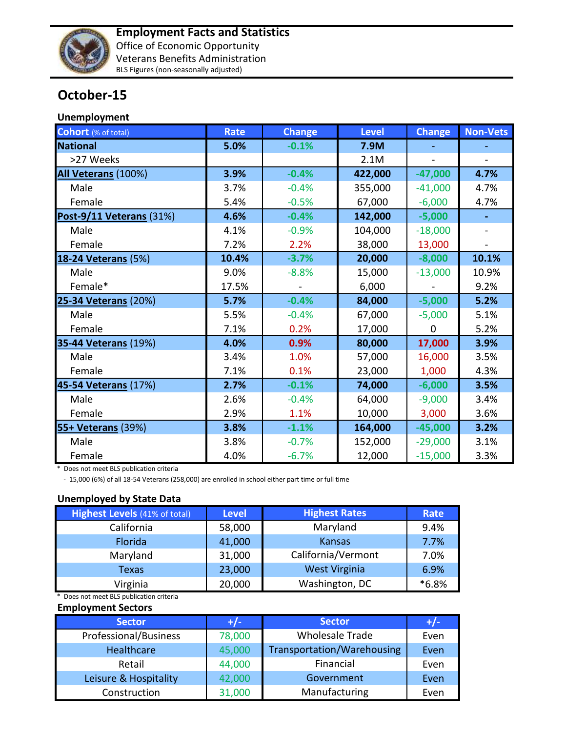

## **October-15**

## **Unemployment**

| <b>Cohort</b> (% of total)  | <b>Rate</b> | <b>Change</b> | <b>Level</b> | <b>Change</b> | <b>Non-Vets</b> |
|-----------------------------|-------------|---------------|--------------|---------------|-----------------|
| <b>National</b>             | 5.0%        | $-0.1%$       | 7.9M         |               |                 |
| >27 Weeks                   |             |               | 2.1M         |               |                 |
| All Veterans (100%)         | 3.9%        | $-0.4%$       | 422,000      | $-47,000$     | 4.7%            |
| Male                        | 3.7%        | $-0.4%$       | 355,000      | $-41,000$     | 4.7%            |
| Female                      | 5.4%        | $-0.5%$       | 67,000       | $-6,000$      | 4.7%            |
| Post-9/11 Veterans (31%)    | 4.6%        | $-0.4%$       | 142,000      | $-5,000$      | $\blacksquare$  |
| Male                        | 4.1%        | $-0.9%$       | 104,000      | $-18,000$     |                 |
| Female                      | 7.2%        | 2.2%          | 38,000       | 13,000        |                 |
| <b>18-24 Veterans (5%)</b>  | 10.4%       | $-3.7%$       | 20,000       | $-8,000$      | 10.1%           |
| Male                        | 9.0%        | $-8.8%$       | 15,000       | $-13,000$     | 10.9%           |
| Female*                     | 17.5%       |               | 6,000        |               | 9.2%            |
| 25-34 Veterans (20%)        | 5.7%        | $-0.4%$       | 84,000       | $-5,000$      | 5.2%            |
| Male                        | 5.5%        | $-0.4%$       | 67,000       | $-5,000$      | 5.1%            |
| Female                      | 7.1%        | 0.2%          | 17,000       | $\Omega$      | 5.2%            |
| <b>35-44 Veterans (19%)</b> | 4.0%        | 0.9%          | 80,000       | 17,000        | 3.9%            |
| Male                        | 3.4%        | 1.0%          | 57,000       | 16,000        | 3.5%            |
| Female                      | 7.1%        | 0.1%          | 23,000       | 1,000         | 4.3%            |
| 45-54 Veterans (17%)        | 2.7%        | $-0.1%$       | 74,000       | $-6,000$      | 3.5%            |
| Male                        | 2.6%        | $-0.4%$       | 64,000       | $-9,000$      | 3.4%            |
| Female                      | 2.9%        | 1.1%          | 10,000       | 3,000         | 3.6%            |
| 55+ Veterans (39%)          | 3.8%        | $-1.1%$       | 164,000      | $-45,000$     | 3.2%            |
| Male                        | 3.8%        | $-0.7%$       | 152,000      | $-29,000$     | 3.1%            |
| Female                      | 4.0%        | $-6.7%$       | 12,000       | $-15,000$     | 3.3%            |

\* Does not meet BLS publication criteria

- 15,000 (6%) of all 18-54 Veterans (258,000) are enrolled in school either part time or full time

## **Unemployed by State Data**

| <b>Highest Levels</b> (41% of total) | <b>Level</b> | <b>Highest Rates</b> | Rate    |
|--------------------------------------|--------------|----------------------|---------|
| California                           | 58,000       | Maryland             | 9.4%    |
| Florida                              | 41,000       | <b>Kansas</b>        | 7.7%    |
| Maryland                             | 31,000       | California/Vermont   | 7.0%    |
| Texas                                | 23,000       | West Virginia        | 6.9%    |
| Virginia                             | 20,000       | Washington, DC       | $*6.8%$ |

\* Does not meet BLS publication criteria

## **Employment Sectors**

| <b>Sector</b>         | $+/-$  | <b>Sector</b>              | $+/-$ |
|-----------------------|--------|----------------------------|-------|
| Professional/Business | 78,000 | <b>Wholesale Trade</b>     | Even  |
| Healthcare            | 45,000 | Transportation/Warehousing | Even  |
| Retail                | 44,000 | Financial                  | Even  |
| Leisure & Hospitality | 42,000 | Government                 | Even  |
| Construction          | 31,000 | Manufacturing              | Even  |